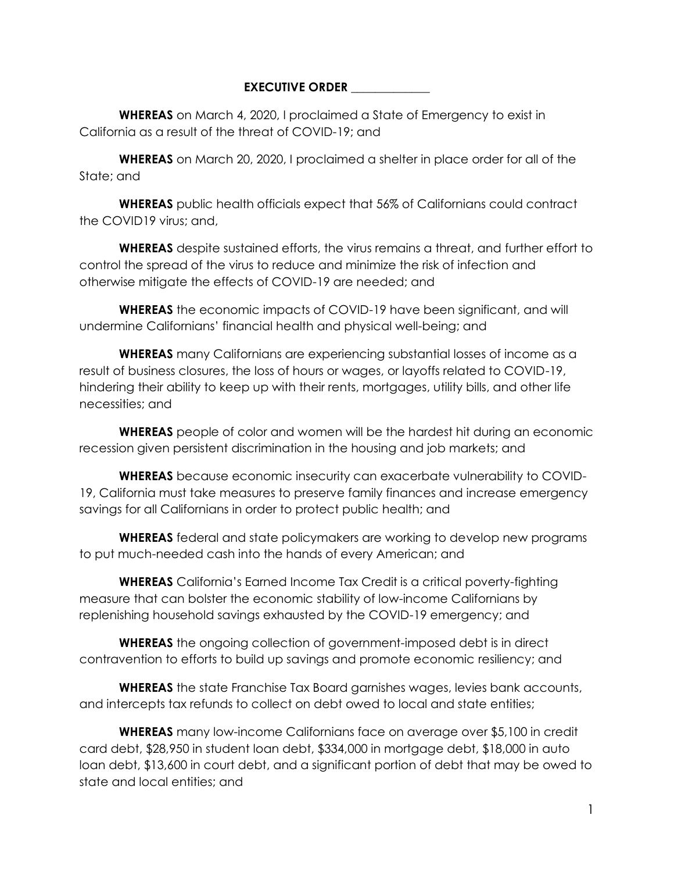## **EXECUTIVE ORDER**

**WHEREAS** on March 4, 2020, I proclaimed a State of Emergency to exist in California as a result of the threat of COVID-19; and

**WHEREAS** on March 20, 2020, I proclaimed a shelter in place order for all of the State; and

**WHEREAS** public health officials expect that 56% of Californians could contract the COVID19 virus; and,

**WHEREAS** despite sustained efforts, the virus remains a threat, and further effort to control the spread of the virus to reduce and minimize the risk of infection and otherwise mitigate the effects of COVID-19 are needed; and

**WHEREAS** the economic impacts of COVID-19 have been significant, and will undermine Californians' financial health and physical well-being; and

**WHEREAS** many Californians are experiencing substantial losses of income as a result of business closures, the loss of hours or wages, or layoffs related to COVID-19, hindering their ability to keep up with their rents, mortgages, utility bills, and other life necessities; and

**WHEREAS** people of color and women will be the hardest hit during an economic recession given persistent discrimination in the housing and job markets; and

**WHEREAS** because economic insecurity can exacerbate vulnerability to COVID-19, California must take measures to preserve family finances and increase emergency savings for all Californians in order to protect public health; and

**WHEREAS** federal and state policymakers are working to develop new programs to put much-needed cash into the hands of every American; and

**WHEREAS** California's Earned Income Tax Credit is a critical poverty-fighting measure that can bolster the economic stability of low-income Californians by replenishing household savings exhausted by the COVID-19 emergency; and

**WHEREAS** the ongoing collection of government-imposed debt is in direct contravention to efforts to build up savings and promote economic resiliency; and

**WHEREAS** the state Franchise Tax Board garnishes wages, levies bank accounts, and intercepts tax refunds to collect on debt owed to local and state entities;

**WHEREAS** many low-income Californians face on average over \$5,100 in credit card debt, \$28,950 in student loan debt, \$334,000 in mortgage debt, \$18,000 in auto loan debt, \$13,600 in court debt, and a significant portion of debt that may be owed to state and local entities; and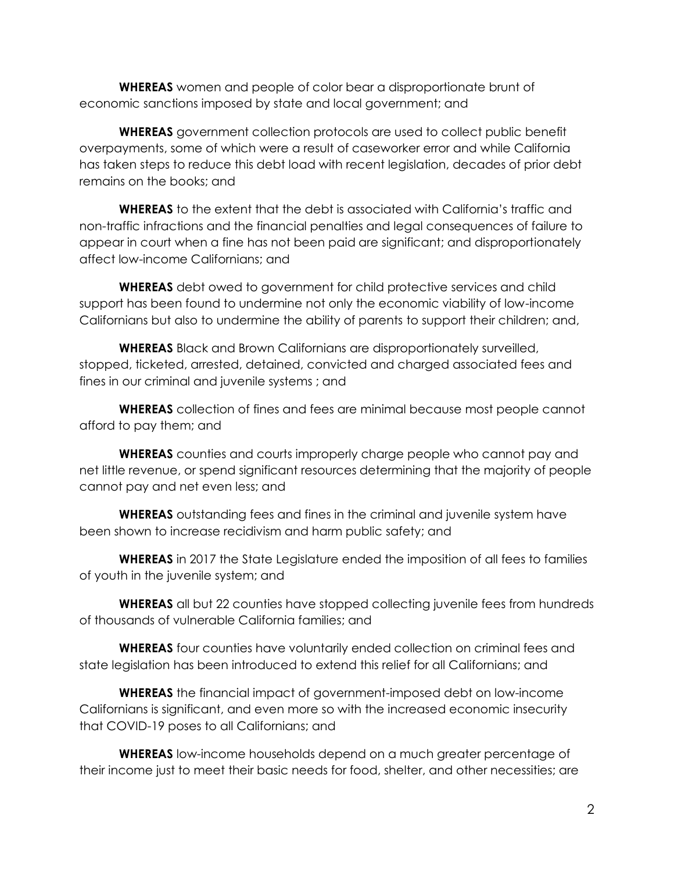**WHEREAS** women and people of color bear a disproportionate brunt of economic sanctions imposed by state and local government; and

**WHEREAS** government collection protocols are used to collect public benefit overpayments, some of which were a result of caseworker error and while California has taken steps to reduce this debt load with recent legislation, decades of prior debt remains on the books; and

**WHEREAS** to the extent that the debt is associated with California's traffic and non-traffic infractions and the financial penalties and legal consequences of failure to appear in court when a fine has not been paid are significant; and disproportionately affect low-income Californians; and

**WHEREAS** debt owed to government for child protective services and child support has been found to undermine not only the economic viability of low-income Californians but also to undermine the ability of parents to support their children; and,

**WHEREAS** Black and Brown Californians are disproportionately surveilled, stopped, ticketed, arrested, detained, convicted and charged associated fees and fines in our criminal and juvenile systems ; and

**WHEREAS** collection of fines and fees are minimal because most people cannot afford to pay them; and

**WHEREAS** counties and courts improperly charge people who cannot pay and net little revenue, or spend significant resources determining that the majority of people cannot pay and net even less; and

**WHEREAS** outstanding fees and fines in the criminal and juvenile system have been shown to increase recidivism and harm public safety; and

**WHEREAS** in 2017 the State Legislature ended the imposition of all fees to families of youth in the juvenile system; and

**WHEREAS** all but 22 counties have stopped collecting juvenile fees from hundreds of thousands of vulnerable California families; and

**WHEREAS** four counties have voluntarily ended collection on criminal fees and state legislation has been introduced to extend this relief for all Californians; and

**WHEREAS** the financial impact of government-imposed debt on low-income Californians is significant, and even more so with the increased economic insecurity that COVID-19 poses to all Californians; and

**WHEREAS** low-income households depend on a much greater percentage of their income just to meet their basic needs for food, shelter, and other necessities; are